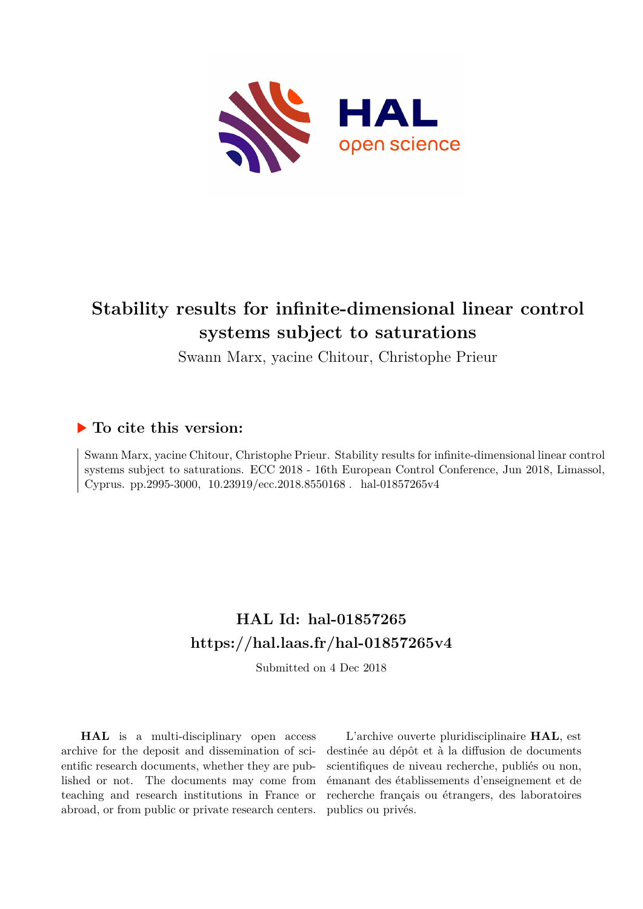

# **Stability results for infinite-dimensional linear control systems subject to saturations**

Swann Marx, yacine Chitour, Christophe Prieur

# **To cite this version:**

Swann Marx, yacine Chitour, Christophe Prieur. Stability results for infinite-dimensional linear control systems subject to saturations. ECC 2018 - 16th European Control Conference, Jun 2018, Limassol, Cyprus. pp.2995-3000,  $10.23919/\text{ecc}.2018.8550168$ . hal-01857265v4

# **HAL Id: hal-01857265 <https://hal.laas.fr/hal-01857265v4>**

Submitted on 4 Dec 2018

**HAL** is a multi-disciplinary open access archive for the deposit and dissemination of scientific research documents, whether they are published or not. The documents may come from teaching and research institutions in France or abroad, or from public or private research centers.

L'archive ouverte pluridisciplinaire **HAL**, est destinée au dépôt et à la diffusion de documents scientifiques de niveau recherche, publiés ou non, émanant des établissements d'enseignement et de recherche français ou étrangers, des laboratoires publics ou privés.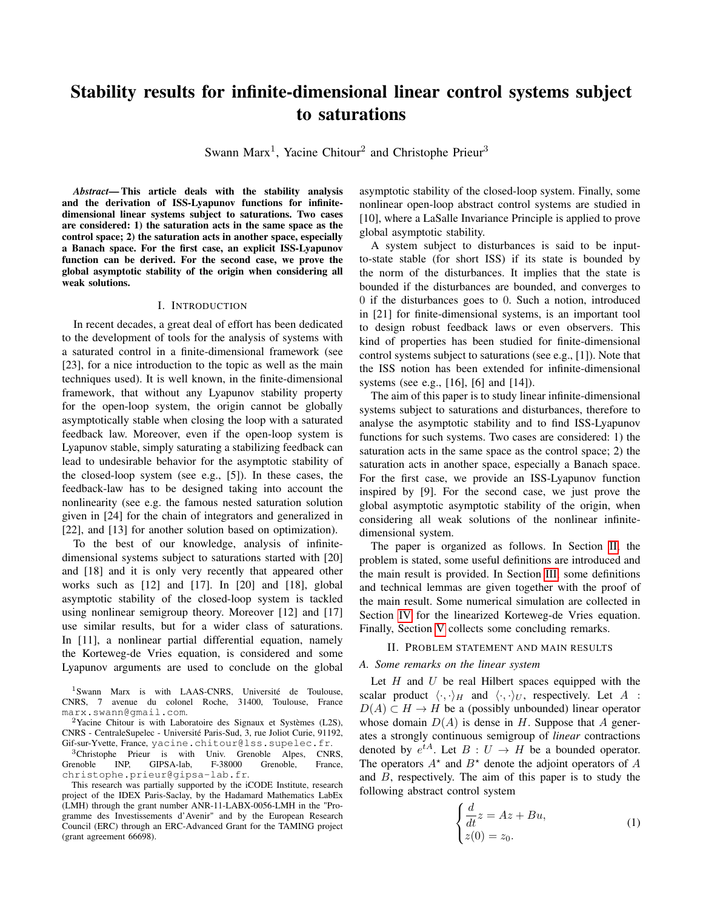# Stability results for infinite-dimensional linear control systems subject to saturations

Swann Marx<sup>1</sup>, Yacine Chitour<sup>2</sup> and Christophe Prieur<sup>3</sup>

*Abstract*— This article deals with the stability analysis and the derivation of ISS-Lyapunov functions for infinitedimensional linear systems subject to saturations. Two cases are considered: 1) the saturation acts in the same space as the control space; 2) the saturation acts in another space, especially a Banach space. For the first case, an explicit ISS-Lyapunov function can be derived. For the second case, we prove the global asymptotic stability of the origin when considering all weak solutions.

#### I. INTRODUCTION

In recent decades, a great deal of effort has been dedicated to the development of tools for the analysis of systems with a saturated control in a finite-dimensional framework (see [23], for a nice introduction to the topic as well as the main techniques used). It is well known, in the finite-dimensional framework, that without any Lyapunov stability property for the open-loop system, the origin cannot be globally asymptotically stable when closing the loop with a saturated feedback law. Moreover, even if the open-loop system is Lyapunov stable, simply saturating a stabilizing feedback can lead to undesirable behavior for the asymptotic stability of the closed-loop system (see e.g., [5]). In these cases, the feedback-law has to be designed taking into account the nonlinearity (see e.g. the famous nested saturation solution given in [24] for the chain of integrators and generalized in [22], and [13] for another solution based on optimization).

To the best of our knowledge, analysis of infinitedimensional systems subject to saturations started with [20] and [18] and it is only very recently that appeared other works such as [12] and [17]. In [20] and [18], global asymptotic stability of the closed-loop system is tackled using nonlinear semigroup theory. Moreover [12] and [17] use similar results, but for a wider class of saturations. In [11], a nonlinear partial differential equation, namely the Korteweg-de Vries equation, is considered and some Lyapunov arguments are used to conclude on the global

<sup>1</sup>Swann Marx is with LAAS-CNRS, Université de Toulouse, CNRS, 7 avenue du colonel Roche, 31400, Toulouse, France marx.swann@gmail.com.

<sup>2</sup>Yacine Chitour is with Laboratoire des Signaux et Systèmes (L2S), CNRS - CentraleSupelec - Université Paris-Sud, 3, rue Joliot Curie, 91192, Gif-sur-Yvette, France, yacine.chitour@lss.supelec.fr.

<sup>3</sup>Christophe Prieur is with Univ. Grenoble Alpes, CNRS, enoble INP, GIPSA-lab, F-38000 Grenoble, France, Grenoble INP, GIPSA-lab, F-38000 Grenoble, France, christophe.prieur@gipsa-lab.fr.

This research was partially supported by the iCODE Institute, research project of the IDEX Paris-Saclay, by the Hadamard Mathematics LabEx (LMH) through the grant number ANR-11-LABX-0056-LMH in the "Programme des Investissements d'Avenir" and by the European Research Council (ERC) through an ERC-Advanced Grant for the TAMING project (grant agreement 66698).

asymptotic stability of the closed-loop system. Finally, some nonlinear open-loop abstract control systems are studied in [10], where a LaSalle Invariance Principle is applied to prove global asymptotic stability.

A system subject to disturbances is said to be inputto-state stable (for short ISS) if its state is bounded by the norm of the disturbances. It implies that the state is bounded if the disturbances are bounded, and converges to 0 if the disturbances goes to 0. Such a notion, introduced in [21] for finite-dimensional systems, is an important tool to design robust feedback laws or even observers. This kind of properties has been studied for finite-dimensional control systems subject to saturations (see e.g., [1]). Note that the ISS notion has been extended for infinite-dimensional systems (see e.g., [16], [6] and [14]).

The aim of this paper is to study linear infinite-dimensional systems subject to saturations and disturbances, therefore to analyse the asymptotic stability and to find ISS-Lyapunov functions for such systems. Two cases are considered: 1) the saturation acts in the same space as the control space; 2) the saturation acts in another space, especially a Banach space. For the first case, we provide an ISS-Lyapunov function inspired by [9]. For the second case, we just prove the global asymptotic asymptotic stability of the origin, when considering all weak solutions of the nonlinear infinitedimensional system.

The paper is organized as follows. In Section II, the problem is stated, some useful definitions are introduced and the main result is provided. In Section III, some definitions and technical lemmas are given together with the proof of the main result. Some numerical simulation are collected in Section IV for the linearized Korteweg-de Vries equation. Finally, Section V collects some concluding remarks.

#### II. PROBLEM STATEMENT AND MAIN RESULTS

# *A. Some remarks on the linear system*

Let  $H$  and  $U$  be real Hilbert spaces equipped with the scalar product  $\langle \cdot, \cdot \rangle_H$  and  $\langle \cdot, \cdot \rangle_U$ , respectively. Let A :  $D(A) \subset H \to H$  be a (possibly unbounded) linear operator whose domain  $D(A)$  is dense in H. Suppose that A generates a strongly continuous semigroup of *linear* contractions denoted by  $e^{tA}$ . Let  $B: U \to H$  be a bounded operator. The operators  $A^*$  and  $B^*$  denote the adjoint operators of A and B, respectively. The aim of this paper is to study the following abstract control system

$$
\begin{cases}\n\frac{d}{dt}z = Az + Bu, \\
z(0) = z_0.\n\end{cases}
$$
\n(1)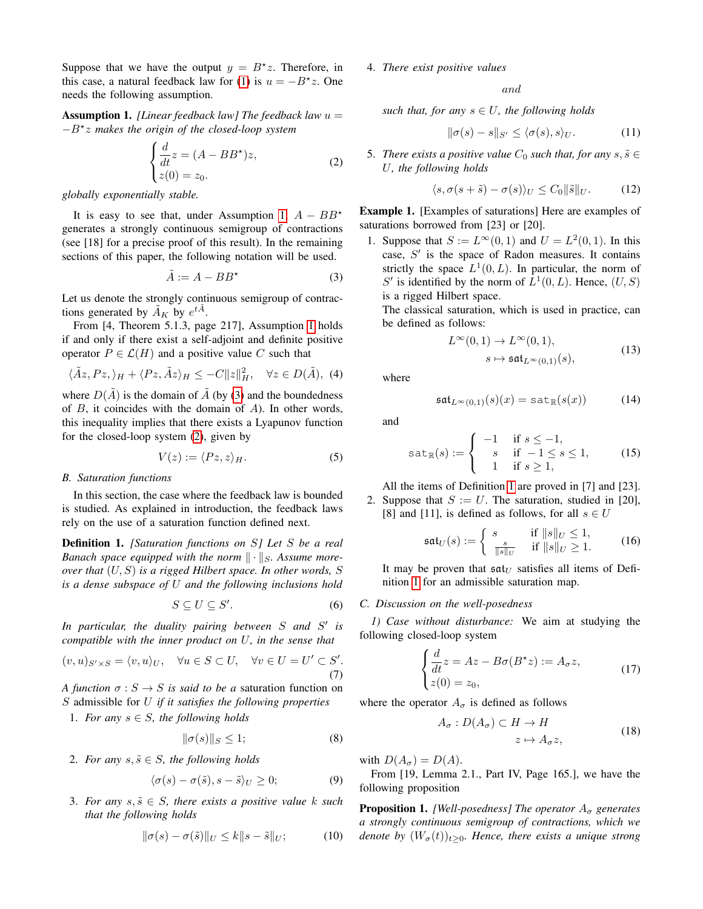Suppose that we have the output  $y = B^*z$ . Therefore, in this case, a natural feedback law for (1) is  $u = -B^*z$ . One needs the following assumption.

Assumption 1. *[Linear feedback law] The feedback law* u = −B? z *makes the origin of the closed-loop system*

$$
\begin{cases}\n\frac{d}{dt}z = (A - BB^*)z, \\
z(0) = z_0.\n\end{cases}
$$
\n(2)

*globally exponentially stable.*

It is easy to see that, under Assumption 1,  $A - BB^*$ generates a strongly continuous semigroup of contractions (see [18] for a precise proof of this result). In the remaining sections of this paper, the following notation will be used.

$$
\tilde{A} := A - BB^{\star} \tag{3}
$$

Let us denote the strongly continuous semigroup of contractions generated by  $\widetilde{A}_K$  by  $e^{t\widetilde{A}}$ .

From [4, Theorem 5.1.3, page 217], Assumption 1 holds if and only if there exist a self-adjoint and definite positive operator  $P \in \mathcal{L}(H)$  and a positive value C such that

$$
\langle \tilde{A}z, Pz, \rangle_H + \langle Pz, \tilde{A}z \rangle_H \le -C||z||_H^2, \quad \forall z \in D(\tilde{A}), \tag{4}
$$

where  $D(\tilde{A})$  is the domain of  $\tilde{A}$  (by (3) and the boundedness of  $B$ , it coincides with the domain of  $A$ ). In other words, this inequality implies that there exists a Lyapunov function for the closed-loop system (2), given by

$$
V(z) := \langle Pz, z \rangle_H. \tag{5}
$$

#### *B. Saturation functions*

In this section, the case where the feedback law is bounded is studied. As explained in introduction, the feedback laws rely on the use of a saturation function defined next.

Definition 1. *[Saturation functions on* S*] Let* S *be a real Banach space equipped with the norm*  $\|\cdot\|_S$ . Assume more*over that* (U, S) *is a rigged Hilbert space. In other words,* S *is a dense subspace of* U *and the following inclusions hold*

$$
S \subseteq U \subseteq S'.\tag{6}
$$

*In particular, the duality pairing between* S *and* S 0 *is compatible with the inner product on* U*, in the sense that*

$$
(v, u)_{S' \times S} = \langle v, u \rangle_U, \quad \forall u \in S \subset U, \quad \forall v \in U = U' \subset S'.
$$
\n
$$
(7)
$$

*A function*  $\sigma : S \to S$  *is said to be a* saturation function on S admissible for U *if it satisfies the following properties*

1. *For any*  $s \in S$ *, the following holds* 

$$
\|\sigma(s)\|_{S} \le 1; \tag{8}
$$

2. *For any*  $s, \tilde{s} \in S$ , the following holds

$$
\langle \sigma(s) - \sigma(\tilde{s}), s - \tilde{s} \rangle_U \ge 0; \tag{9}
$$

3. For any  $s, \tilde{s} \in S$ , there exists a positive value k such *that the following holds*

$$
\|\sigma(s) - \sigma(\tilde{s})\|_{U} \le k\|s - \tilde{s}\|_{U};\tag{10}
$$

### 4. *There exist positive values*

and

*such that, for any*  $s \in U$ *, the following holds* 

$$
\|\sigma(s) - s\|_{S'} \le \langle \sigma(s), s \rangle_U. \tag{11}
$$

5. There exists a positive value  $C_0$  such that, for any  $s, \tilde{s} \in$ U*, the following holds*

$$
\langle s, \sigma(s+\tilde{s}) - \sigma(s) \rangle_U \le C_0 ||\tilde{s}||_U. \tag{12}
$$

Example 1. [Examples of saturations] Here are examples of saturations borrowed from [23] or [20].

1. Suppose that  $S := L^{\infty}(0, 1)$  and  $U = L^2(0, 1)$ . In this case,  $S'$  is the space of Radon measures. It contains strictly the space  $L^1(0,L)$ . In particular, the norm of S' is identified by the norm of  $L^1(0,L)$ . Hence,  $(U, S)$ is a rigged Hilbert space.

The classical saturation, which is used in practice, can be defined as follows:

$$
L^{\infty}(0,1) \to L^{\infty}(0,1),
$$
  
\n
$$
s \mapsto \mathfrak{sat}_{L^{\infty}(0,1)}(s),
$$
\n(13)

where

$$
\mathfrak{sat}_{L^{\infty}(0,1)}(s)(x) = \text{sat}_{\mathbb{R}}(s(x))\tag{14}
$$

and

$$
\text{sat}_{\mathbb{R}}(s) := \begin{cases}\n-1 & \text{if } s \le -1, \\
s & \text{if } -1 \le s \le 1, \\
1 & \text{if } s \ge 1,\n\end{cases}\n\tag{15}
$$

All the items of Definition 1 are proved in [7] and [23]. 2. Suppose that  $S := U$ . The saturation, studied in [20], [8] and [11], is defined as follows, for all  $s \in U$ 

$$
\mathfrak{sat}_U(s) := \begin{cases} s & \text{if } \|s\|_U \le 1, \\ \frac{s}{\|s\|_U} & \text{if } \|s\|_U \ge 1. \end{cases} \tag{16}
$$

It may be proven that  $\mathfrak{sat}_U$  satisfies all items of Definition 1 for an admissible saturation map.

### *C. Discussion on the well-posedness*

*1) Case without disturbance:* We aim at studying the following closed-loop system

$$
\begin{cases}\n\frac{d}{dt}z = Az - B\sigma(B^*z) := A_\sigma z, \\
z(0) = z_0,\n\end{cases}
$$
\n(17)

where the operator  $A_{\sigma}$  is defined as follows

$$
A_{\sigma}: D(A_{\sigma}) \subset H \to H
$$
  

$$
z \mapsto A_{\sigma} z,
$$
 (18)

with  $D(A_{\sigma}) = D(A)$ .

From [19, Lemma 2.1., Part IV, Page 165.], we have the following proposition

**Proposition 1.** *[Well-posedness] The operator*  $A_{\sigma}$  *generates a strongly continuous semigroup of contractions, which we denote by*  $(W_{\sigma}(t))_{t>0}$ *. Hence, there exists a unique strong*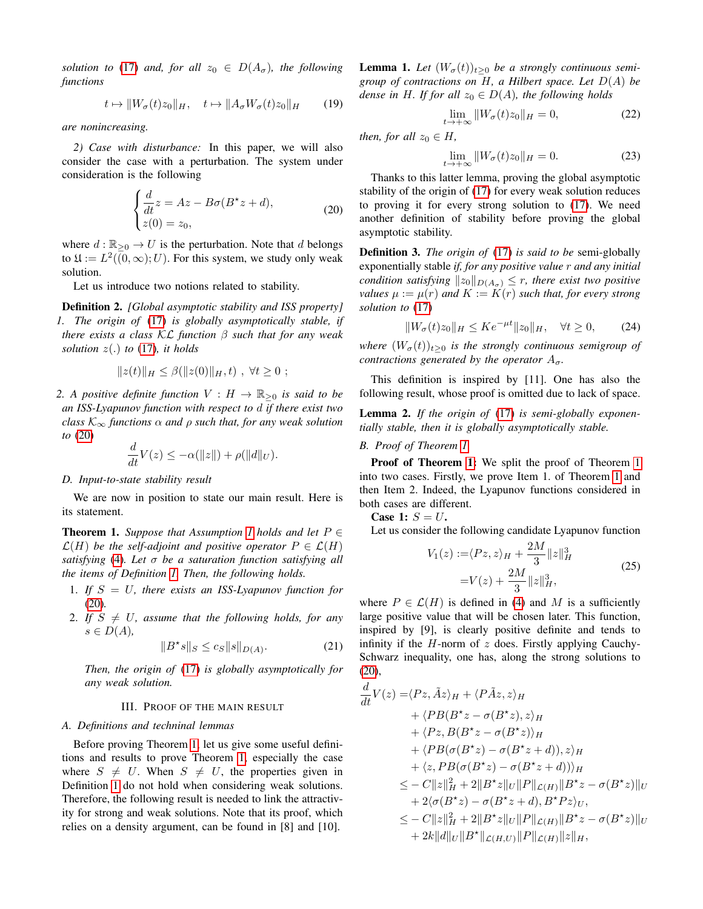*solution to* (17) *and, for all*  $z_0 \in D(A_\sigma)$ *, the following functions*

$$
t \mapsto ||W_{\sigma}(t)z_0||_H, \quad t \mapsto ||A_{\sigma}W_{\sigma}(t)z_0||_H \qquad (19)
$$

*are nonincreasing.*

*2) Case with disturbance:* In this paper, we will also consider the case with a perturbation. The system under consideration is the following

$$
\begin{cases}\n\frac{d}{dt}z = Az - B\sigma(B^*z + d),\\ \nz(0) = z_0,\n\end{cases}
$$
\n(20)

where  $d : \mathbb{R}_{\geq 0} \to U$  is the perturbation. Note that d belongs to  $\mathfrak{U} := L^2((0,\infty);U)$ . For this system, we study only weak solution.

Let us introduce two notions related to stability.

Definition 2. *[Global asymptotic stability and ISS property] 1. The origin of* (17) *is globally asymptotically stable, if there exists a class* KL *function* β *such that for any weak solution*  $z(.)$  *to* (17)*, it holds* 

$$
||z(t)||_H \leq \beta(||z(0)||_H, t) , \forall t \geq 0 ;
$$

*2. A positive definite function*  $V : H \to \mathbb{R}_{\geq 0}$  *is said to be an ISS-Lyapunov function with respect to* d *if there exist two class*  $K_{\infty}$  *functions*  $\alpha$  *and*  $\rho$  *such that, for any weak solution to* (20)

$$
\frac{d}{dt}V(z) \le -\alpha(||z||) + \rho(||d||_U).
$$

#### *D. Input-to-state stability result*

We are now in position to state our main result. Here is its statement.

**Theorem 1.** *Suppose that Assumption 1 holds and let*  $P \in$  $\mathcal{L}(H)$  *be the self-adjoint and positive operator*  $P \in \mathcal{L}(H)$ *satisfying* (4)*. Let* σ *be a saturation function satisfying all the items of Definition 1. Then, the following holds.*

- 1. *If* S = U*, there exists an ISS-Lyapunov function for* (20)*.*
- 2. If  $S \neq U$ , assume that the following holds, for any  $s \in D(A)$ ,

$$
||B^*s||_S \le c_S ||s||_{D(A)}.
$$
 (21)

*Then, the origin of* (17) *is globally asymptotically for any weak solution.*

#### III. PROOF OF THE MAIN RESULT

#### *A. Definitions and techninal lemmas*

Before proving Theorem 1, let us give some useful definitions and results to prove Theorem 1, especially the case where  $S \neq U$ . When  $S \neq U$ , the properties given in Definition 1 do not hold when considering weak solutions. Therefore, the following result is needed to link the attractivity for strong and weak solutions. Note that its proof, which relies on a density argument, can be found in [8] and [10].

**Lemma 1.** Let  $(W_{\sigma}(t))_{t\geq 0}$  be a strongly continuous semi*group of contractions on* H*, a Hilbert space. Let* D(A) *be dense in H. If for all*  $z_0 \in D(A)$ *, the following holds* 

$$
\lim_{t \to +\infty} \|W_{\sigma}(t)z_0\|_{H} = 0,
$$
\n(22)

*then, for all*  $z_0 \in H$ *,* 

$$
\lim_{t \to +\infty} \|W_{\sigma}(t)z_0\|_{H} = 0.
$$
\n(23)

Thanks to this latter lemma, proving the global asymptotic stability of the origin of (17) for every weak solution reduces to proving it for every strong solution to (17). We need another definition of stability before proving the global asymptotic stability.

Definition 3. *The origin of* (17) *is said to be* semi-globally exponentially stable *if, for any positive value* r *and any initial condition satisfying*  $||z_0||_{D(A_\sigma)} \leq r$ *, there exist two positive values*  $\mu := \mu(r)$  *and*  $K := K(r)$  *such that, for every strong solution to* (17)

$$
||W_{\sigma}(t)z_{0}||_{H} \leq Ke^{-\mu t}||z_{0}||_{H}, \quad \forall t \geq 0, \qquad (24)
$$

*where*  $(W_{\sigma}(t))_{t>0}$  *is the strongly continuous semigroup of contractions generated by the operator*  $A_{\sigma}$ *.* 

This definition is inspired by [11]. One has also the following result, whose proof is omitted due to lack of space.

Lemma 2. *If the origin of* (17) *is semi-globally exponentially stable, then it is globally asymptotically stable.*

## *B. Proof of Theorem 1*

Proof of Theorem 1: We split the proof of Theorem 1 into two cases. Firstly, we prove Item 1. of Theorem 1 and then Item 2. Indeed, the Lyapunov functions considered in both cases are different.

Case 1:  $S = U$ .

Let us consider the following candidate Lyapunov function

$$
V_1(z) := \langle Pz, z \rangle_H + \frac{2M}{3} ||z||_H^3
$$
  
=  $V(z) + \frac{2M}{3} ||z||_H^3$ , (25)

where  $P \in \mathcal{L}(H)$  is defined in (4) and M is a sufficiently large positive value that will be chosen later. This function, inspired by [9], is clearly positive definite and tends to infinity if the  $H$ -norm of  $z$  does. Firstly applying Cauchy-Schwarz inequality, one has, along the strong solutions to (20),

$$
\frac{d}{dt}V(z) = \langle Pz, \tilde{A}z \rangle_H + \langle P\tilde{A}z, z \rangle_H \n+ \langle PB(B^*z - \sigma(B^*z), z \rangle_H \n+ \langle Pz, B(B^*z - \sigma(B^*z)) \rangle_H \n+ \langle PB(\sigma(B^*z) - \sigma(B^*z + d)), z \rangle_H \n+ \langle z, PB(\sigma(B^*z) - \sigma(B^*z + d)) \rangle_H \n\leq - C||z||_H^2 + 2||B^*z||_U||P||_{\mathcal{L}(H)}||B^*z - \sigma(B^*z)||_U \n+ 2\langle \sigma(B^*z) - \sigma(B^*z + d), B^*Pz \rangle_U, \n\leq - C||z||_H^2 + 2||B^*z||_U||P||_{\mathcal{L}(H)}||B^*z - \sigma(B^*z)||_U \n+ 2k||d||_U||B^*||_{\mathcal{L}(H,U)}||P||_{\mathcal{L}(H)}||z||_H,
$$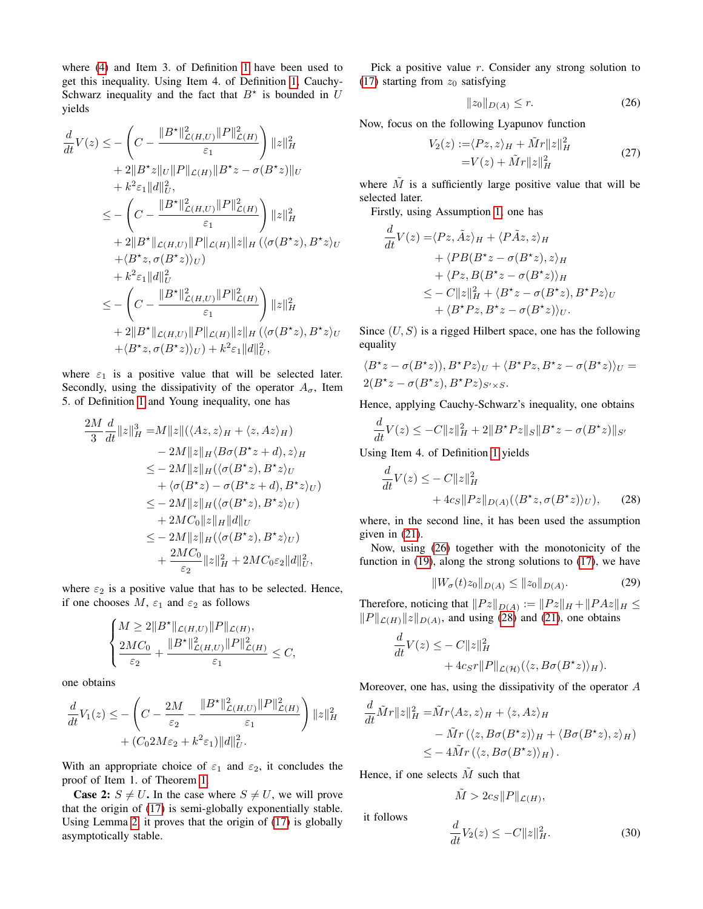where (4) and Item 3. of Definition 1 have been used to get this inequality. Using Item 4. of Definition 1, Cauchy-Schwarz inequality and the fact that  $B^*$  is bounded in U yields

$$
\frac{d}{dt}V(z) \leq -\left(C - \frac{\|B^*\|_{\mathcal{L}(H,U)}^2 \|P\|_{\mathcal{L}(H)}^2}{\varepsilon_1}\right) \|z\|_H^2 \n+ 2\|B^*z\|_U \|P\|_{\mathcal{L}(H)} \|B^*z - \sigma(B^*z)\|_U \n+ k^2 \varepsilon_1 \|d\|_U^2, \n\leq -\left(C - \frac{\|B^*\|_{\mathcal{L}(H,U)}^2 \|P\|_{\mathcal{L}(H)}}{\varepsilon_1}\right) \|z\|_H^2 \n+ 2\|B^*\|_{\mathcal{L}(H,U)} \|P\|_{\mathcal{L}(H)} \|z\|_H (\langle \sigma(B^*z), B^*z\rangle_U \n+ \langle B^*z, \sigma(B^*z)\rangle_U) \n+ k^2 \varepsilon_1 \|d\|_U^2 \n\leq -\left(C - \frac{\|B^*\|_{\mathcal{L}(H,U)}^2 \|P\|_{\mathcal{L}(H)}}{\varepsilon_1}\right) \|z\|_H^2 \n+ 2\|B^*\|_{\mathcal{L}(H,U)} \|P\|_{\mathcal{L}(H)} \|z\|_H (\langle \sigma(B^*z), B^*z\rangle_U \n+ \langle B^*z, \sigma(B^*z)\rangle_U) + k^2 \varepsilon_1 \|d\|_U^2,
$$

where  $\varepsilon_1$  is a positive value that will be selected later. Secondly, using the dissipativity of the operator  $A_{\sigma}$ , Item 5. of Definition 1 and Young inequality, one has

$$
\frac{2M}{3} \frac{d}{dt} ||z||_H^3 = M ||z|| (\langle Az, z \rangle_H + \langle z, Az \rangle_H)
$$
  
\n
$$
- 2M ||z||_H \langle B\sigma(B^*z + d), z \rangle_H
$$
  
\n
$$
\leq - 2M ||z||_H (\langle \sigma(B^*z), B^*z \rangle_U
$$
  
\n
$$
+ \langle \sigma(B^*z) - \sigma(B^*z + d), B^*z \rangle_U)
$$
  
\n
$$
\leq - 2M ||z||_H (\langle \sigma(B^*z), B^*z \rangle_U)
$$
  
\n
$$
+ 2MC_0 ||z||_H ||d||_U
$$
  
\n
$$
\leq - 2M ||z||_H (\langle \sigma(B^*z), B^*z \rangle_U)
$$
  
\n
$$
+ \frac{2MC_0}{\varepsilon_2} ||z||_H^2 + 2MC_0\varepsilon_2 ||d||_U^2,
$$

where  $\varepsilon_2$  is a positive value that has to be selected. Hence, if one chooses  $M$ ,  $\varepsilon_1$  and  $\varepsilon_2$  as follows

$$
\left\{\begin{aligned}&M\geq 2\|B^{\star}\|_{\mathcal{L}(H,U)}\|P\|_{\mathcal{L}(H)},\\&\frac{2MC_0}{\varepsilon_2}+\frac{\|B^{\star}\|_{\mathcal{L}(H,U)}^2\|P\|_{\mathcal{L}(H)}^2}{\varepsilon_1}\leq C,\end{aligned}\right.
$$

one obtains

$$
\frac{d}{dt}V_1(z) \le -\left(C - \frac{2M}{\varepsilon_2} - \frac{\|B^{\star}\|_{\mathcal{L}(H,U)}^2 \|P\|_{\mathcal{L}(H)}^2}{\varepsilon_1}\right) \|z\|_H^2 + (C_0 2M\varepsilon_2 + k^2 \varepsilon_1) \|d\|_U^2.
$$

With an appropriate choice of  $\varepsilon_1$  and  $\varepsilon_2$ , it concludes the proof of Item 1. of Theorem 1.

**Case 2:**  $S \neq U$ . In the case where  $S \neq U$ , we will prove that the origin of (17) is semi-globally exponentially stable. Using Lemma 2, it proves that the origin of (17) is globally asymptotically stable.

Pick a positive value  $r$ . Consider any strong solution to (17) starting from  $z_0$  satisfying

$$
||z_0||_{D(A)} \le r.
$$
 (26)

Now, focus on the following Lyapunov function

$$
V_2(z) := \langle Pz, z \rangle_H + \tilde{M}r \|z\|_H^2
$$
  
=  $V(z) + \tilde{M}r \|z\|_H^2$  (27)

where  $\tilde{M}$  is a sufficiently large positive value that will be selected later.

Firstly, using Assumption 1, one has

$$
\frac{d}{dt}V(z) = \langle Pz, \tilde{A}z \rangle_H + \langle P\tilde{A}z, z \rangle_H \n+ \langle PB(B^*z - \sigma(B^*z), z \rangle_H \n+ \langle Pz, B(B^*z - \sigma(B^*z)) \rangle_H \n\leq - C||z||_H^2 + \langle B^*z - \sigma(B^*z), B^*Pz \rangle_U \n+ \langle B^*Pz, B^*z - \sigma(B^*z) \rangle_U.
$$

Since  $(U, S)$  is a rigged Hilbert space, one has the following equality

$$
\langle B^*z - \sigma(B^*z)), B^*Pz\rangle_U + \langle B^*Pz, B^*z - \sigma(B^*z)\rangle_U = 2(B^*z - \sigma(B^*z), B^*Pz)_{S' \times S}.
$$

Hence, applying Cauchy-Schwarz's inequality, one obtains

$$
\frac{d}{dt}V(z) \le -C||z||_H^2 + 2||B^*Pz||_S||B^*z - \sigma(B^*z)||_{S'}
$$

Using Item 4. of Definition 1 yields

$$
\frac{d}{dt}V(z) \le -C||z||_H^2 + 4c_S||Pz||_{D(A)}(\langle B^\star z, \sigma(B^\star z)\rangle_U), \qquad (28)
$$

where, in the second line, it has been used the assumption given in (21).

Now, using (26) together with the monotonicity of the function in (19), along the strong solutions to (17), we have

$$
||W_{\sigma}(t)z_0||_{D(A)} \le ||z_0||_{D(A)}.
$$
 (29)

Therefore, noticing that  $||Pz||_{D(A)} := ||Pz||_H + ||P Az||_H \le$  $||P||_{\mathcal{L}(H)}||z||_{D(A)}$ , and using (28) and (21), one obtains

$$
\frac{d}{dt}V(z) \leq - C||z||_H^2 + 4c_S r||P||_{\mathcal{L}(\mathcal{H})}(\langle z, B\sigma(B^*z) \rangle_H).
$$

Moreover, one has, using the dissipativity of the operator A

$$
\frac{d}{dt}\tilde{M}r||z||_H^2 = \tilde{M}r\langle Az, z\rangle_H + \langle z, Az\rangle_H \n- \tilde{M}r(\langle z, B\sigma(B^*z)\rangle_H + \langle B\sigma(B^*z), z\rangle_H) \n\leq -4\tilde{M}r(\langle z, B\sigma(B^*z)\rangle_H).
$$

Hence, if one selects  $\tilde{M}$  such that

it follows

$$
\tilde{M} > 2c_S ||P||_{\mathcal{L}(H)},
$$

$$
\frac{d}{dt}V_2(z) \le -C||z||_H^2.
$$
\n(30)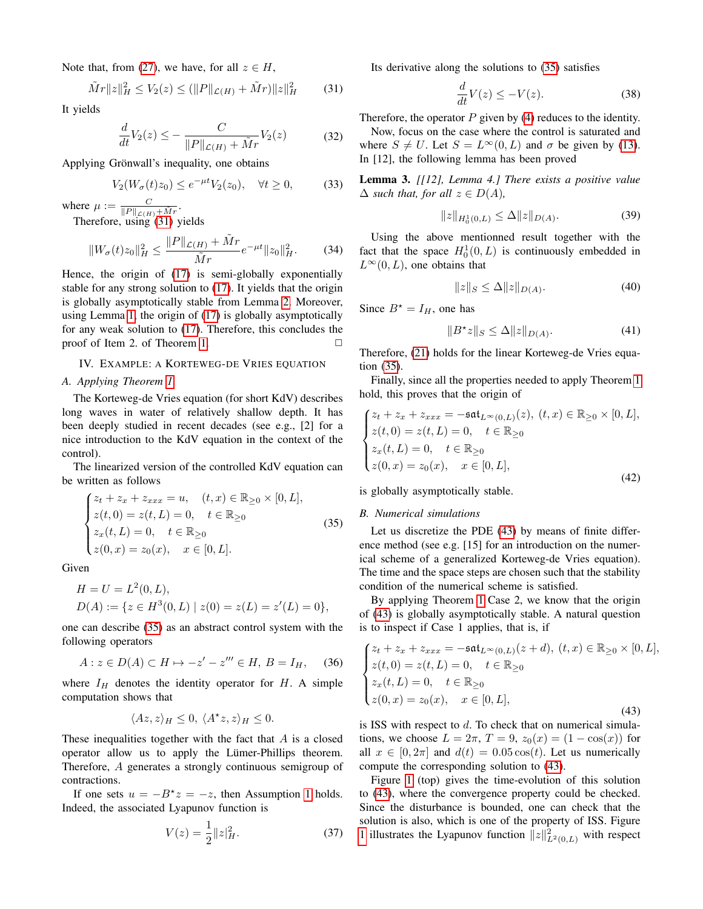Note that, from (27), we have, for all  $z \in H$ ,

$$
\tilde{M}r||z||_H^2 \le V_2(z) \le (||P||_{\mathcal{L}(H)} + \tilde{M}r)||z||_H^2 \qquad (31)
$$

It yields

$$
\frac{d}{dt}V_2(z) \le -\frac{C}{\|P\|_{\mathcal{L}(H)} + \tilde{M}r}V_2(z) \tag{32}
$$

Applying Grönwall's inequality, one obtains

$$
V_2(W_{\sigma}(t)z_0) \le e^{-\mu t}V_2(z_0), \quad \forall t \ge 0,
$$
\n(33)

where  $\mu := \frac{C}{\|P\|_{\mathcal{L}(H)} + \tilde{M}r}$ . Therefore, using (31) yields

$$
||W_{\sigma}(t)z_{0}||_{H}^{2} \le \frac{||P||_{\mathcal{L}(H)} + \tilde{M}r}{\tilde{M}r}e^{-\mu t}||z_{0}||_{H}^{2}.
$$
 (34)

Hence, the origin of (17) is semi-globally exponentially stable for any strong solution to (17). It yields that the origin is globally asymptotically stable from Lemma 2. Moreover, using Lemma 1, the origin of (17) is globally asymptotically for any weak solution to (17). Therefore, this concludes the proof of Item 2. of Theorem 1.  $\Box$ 

#### IV. EXAMPLE: A KORTEWEG-DE VRIES EQUATION

#### *A. Applying Theorem 1*

The Korteweg-de Vries equation (for short KdV) describes long waves in water of relatively shallow depth. It has been deeply studied in recent decades (see e.g., [2] for a nice introduction to the KdV equation in the context of the control).

The linearized version of the controlled KdV equation can be written as follows

$$
\begin{cases}\nz_t + z_x + z_{xxx} = u, & (t, x) \in \mathbb{R}_{\geq 0} \times [0, L], \\
z(t, 0) = z(t, L) = 0, & t \in \mathbb{R}_{\geq 0} \\
z_x(t, L) = 0, & t \in \mathbb{R}_{\geq 0} \\
z(0, x) = z_0(x), & x \in [0, L].\n\end{cases}
$$
\n(35)

Given

$$
H = U = L2(0, L),
$$
  
 
$$
D(A) := \{ z \in H3(0, L) | z(0) = z(L) = z'(L) = 0 \},
$$

one can describe (35) as an abstract control system with the following operators

$$
A: z \in D(A) \subset H \mapsto -z' - z''' \in H, B = I_H, \quad (36)
$$

where  $I_H$  denotes the identity operator for  $H$ . A simple computation shows that

$$
\langle Az, z \rangle_H \le 0, \ \langle A^\star z, z \rangle_H \le 0.
$$

These inequalities together with the fact that  $A$  is a closed operator allow us to apply the Lümer-Phillips theorem. Therefore, A generates a strongly continuous semigroup of contractions.

If one sets  $u = -B^*z = -z$ , then Assumption 1 holds. Indeed, the associated Lyapunov function is

$$
V(z) = \frac{1}{2} ||z|_H^2.
$$
 (37)

Its derivative along the solutions to (35) satisfies

$$
\frac{d}{dt}V(z) \le -V(z). \tag{38}
$$

Therefore, the operator  $P$  given by (4) reduces to the identity. Now, focus on the case where the control is saturated and where  $S \neq U$ . Let  $S = L^{\infty}(0, L)$  and  $\sigma$  be given by (13). In [12], the following lemma has been proved

Lemma 3. *[[12], Lemma 4.] There exists a positive value*  $\Delta$  *such that, for all*  $z \in D(A)$ *,* 

$$
||z||_{H_0^1(0,L)} \le \Delta ||z||_{D(A)}.
$$
\n(39)

Using the above mentionned result together with the fact that the space  $H_0^1(0,L)$  is continuously embedded in  $L^{\infty}(0, L)$ , one obtains that

$$
||z||_S \le \Delta ||z||_{D(A)}.
$$
 (40)

Since  $B^* = I_H$ , one has

$$
||B^*z||_S \le \Delta ||z||_{D(A)}.
$$
 (41)

Therefore, (21) holds for the linear Korteweg-de Vries equation (35).

Finally, since all the properties needed to apply Theorem 1 hold, this proves that the origin of

$$
\begin{cases}\nz_t + z_x + z_{xxx} = -\mathfrak{sat}_{L^{\infty}(0,L)}(z), \ (t, x) \in \mathbb{R}_{\geq 0} \times [0, L], \\
z(t, 0) = z(t, L) = 0, \quad t \in \mathbb{R}_{\geq 0} \\
z_x(t, L) = 0, \quad t \in \mathbb{R}_{\geq 0} \\
z(0, x) = z_0(x), \quad x \in [0, L],\n\end{cases}
$$
\n(42)

is globally asymptotically stable.

#### *B. Numerical simulations*

Let us discretize the PDE (43) by means of finite difference method (see e.g. [15] for an introduction on the numerical scheme of a generalized Korteweg-de Vries equation). The time and the space steps are chosen such that the stability condition of the numerical scheme is satisfied.

By applying Theorem 1 Case 2, we know that the origin of (43) is globally asymptotically stable. A natural question is to inspect if Case 1 applies, that is, if

$$
\begin{cases}\nz_t + z_x + z_{xxx} = -\mathfrak{sat}_{L^\infty(0,L)}(z+d), \ (t,x) \in \mathbb{R}_{\geq 0} \times [0,L], \\
z(t,0) = z(t,L) = 0, \quad t \in \mathbb{R}_{\geq 0} \\
z_x(t,L) = 0, \quad t \in \mathbb{R}_{\geq 0} \\
z(0,x) = z_0(x), \quad x \in [0,L],\n\end{cases}
$$
\n(43)

is ISS with respect to  $d$ . To check that on numerical simulations, we choose  $L = 2\pi$ ,  $T = 9$ ,  $z_0(x) = (1 - \cos(x))$  for all  $x \in [0, 2\pi]$  and  $d(t) = 0.05 \cos(t)$ . Let us numerically compute the corresponding solution to (43).

Figure 1 (top) gives the time-evolution of this solution to (43), where the convergence property could be checked. Since the disturbance is bounded, one can check that the solution is also, which is one of the property of ISS. Figure 1 illustrates the Lyapunov function  $||z||_{L^2(0,L)}^2$  with respect